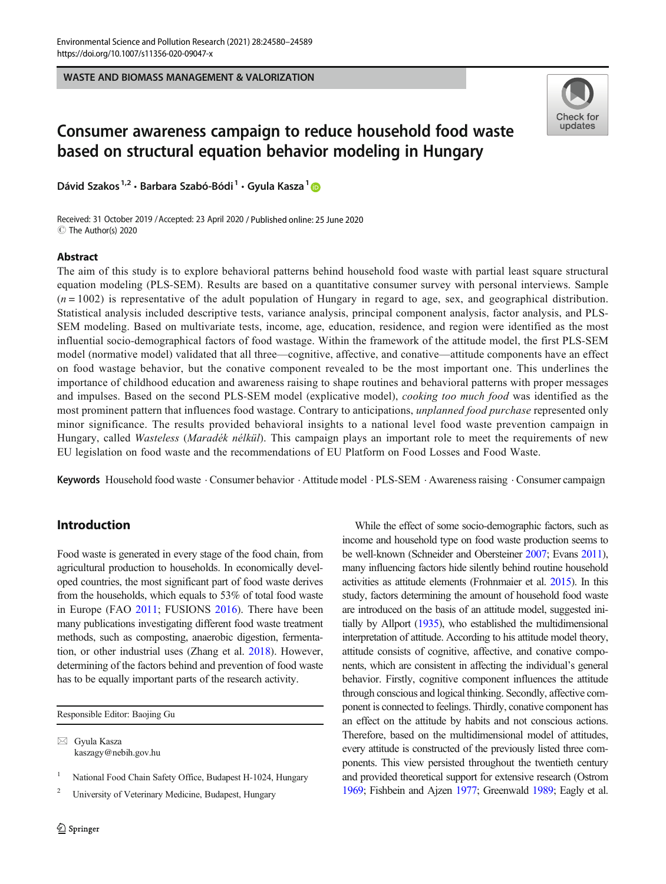WASTE AND BIOMASS MANAGEMENT & VALORIZATION



# Consumer awareness campaign to reduce household food waste based on structural equation behavior modeling in Hungary

Dávid Szakos<sup>1,2</sup> · Barbara Szabó-Bódi<sup>1</sup> · Gyula Kasza<sup>1</sup> D

Received: 31 October 2019 /Accepted: 23 April 2020 / Published online: 25 June 2020 C The Author(s) 2020

#### Abstract

The aim of this study is to explore behavioral patterns behind household food waste with partial least square structural equation modeling (PLS-SEM). Results are based on a quantitative consumer survey with personal interviews. Sample  $(n = 1002)$  is representative of the adult population of Hungary in regard to age, sex, and geographical distribution. Statistical analysis included descriptive tests, variance analysis, principal component analysis, factor analysis, and PLS-SEM modeling. Based on multivariate tests, income, age, education, residence, and region were identified as the most influential socio-demographical factors of food wastage. Within the framework of the attitude model, the first PLS-SEM model (normative model) validated that all three—cognitive, affective, and conative—attitude components have an effect on food wastage behavior, but the conative component revealed to be the most important one. This underlines the importance of childhood education and awareness raising to shape routines and behavioral patterns with proper messages and impulses. Based on the second PLS-SEM model (explicative model), *cooking too much food* was identified as the most prominent pattern that influences food wastage. Contrary to anticipations, *unplanned food purchase* represented only minor significance. The results provided behavioral insights to a national level food waste prevention campaign in Hungary, called Wasteless (Maradék nélkül). This campaign plays an important role to meet the requirements of new EU legislation on food waste and the recommendations of EU Platform on Food Losses and Food Waste.

Keywords Household food waste . Consumer behavior . Attitude model . PLS-SEM . Awareness raising . Consumer campaign

# Introduction

Food waste is generated in every stage of the food chain, from agricultural production to households. In economically developed countries, the most significant part of food waste derives from the households, which equals to 53% of total food waste in Europe (FAO [2011](#page-8-0); FUSIONS [2016](#page-8-0)). There have been many publications investigating different food waste treatment methods, such as composting, anaerobic digestion, fermentation, or other industrial uses (Zhang et al. [2018\)](#page-9-0). However, determining of the factors behind and prevention of food waste has to be equally important parts of the research activity.

Responsible Editor: Baojing Gu

 $\boxtimes$  Gyula Kasza [kaszagy@nebih.gov.hu](mailto:kaszagy@nebih.gov.hu)

National Food Chain Safety Office, Budapest H-1024, Hungary

<sup>2</sup> University of Veterinary Medicine, Budapest, Hungary

While the effect of some socio-demographic factors, such as income and household type on food waste production seems to be well-known (Schneider and Obersteiner [2007;](#page-9-0) Evans [2011\)](#page-8-0), many influencing factors hide silently behind routine household activities as attitude elements (Frohnmaier et al. [2015\)](#page-8-0). In this study, factors determining the amount of household food waste are introduced on the basis of an attitude model, suggested initially by Allport ([1935](#page-8-0)), who established the multidimensional interpretation of attitude. According to his attitude model theory, attitude consists of cognitive, affective, and conative components, which are consistent in affecting the individual's general behavior. Firstly, cognitive component influences the attitude through conscious and logical thinking. Secondly, affective component is connected to feelings. Thirdly, conative component has an effect on the attitude by habits and not conscious actions. Therefore, based on the multidimensional model of attitudes, every attitude is constructed of the previously listed three components. This view persisted throughout the twentieth century and provided theoretical support for extensive research (Ostrom [1969;](#page-9-0) Fishbein and Ajzen [1977;](#page-8-0) Greenwald [1989;](#page-8-0) Eagly et al.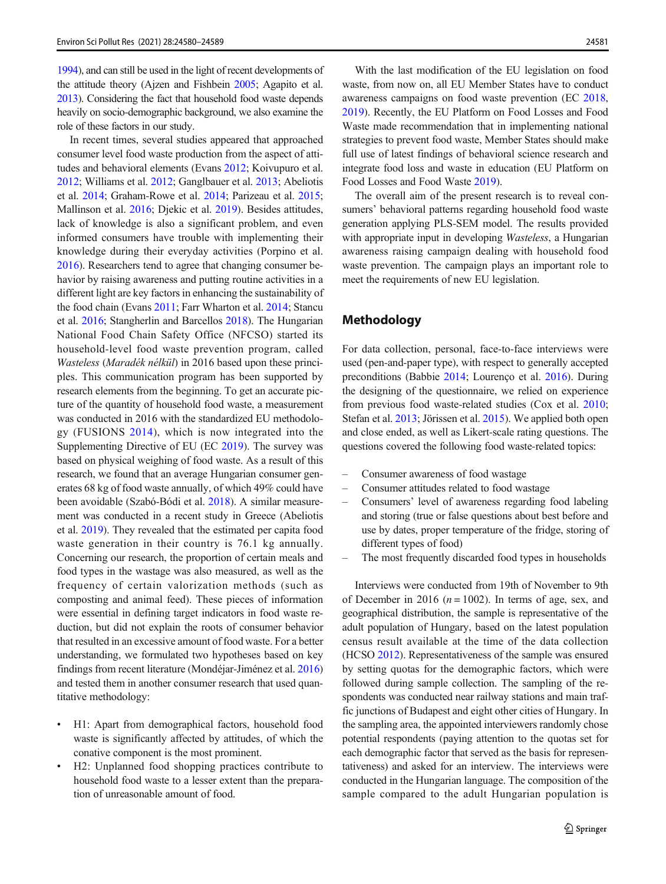[1994\)](#page-8-0), and can still be used in the light of recent developments of the attitude theory (Ajzen and Fishbein [2005;](#page-8-0) Agapito et al. [2013\)](#page-8-0). Considering the fact that household food waste depends heavily on socio-demographic background, we also examine the role of these factors in our study.

In recent times, several studies appeared that approached consumer level food waste production from the aspect of attitudes and behavioral elements (Evans [2012](#page-8-0); Koivupuro et al. [2012;](#page-9-0) Williams et al. [2012;](#page-9-0) Ganglbauer et al. [2013;](#page-8-0) Abeliotis et al. [2014](#page-8-0); Graham-Rowe et al. [2014;](#page-8-0) Parizeau et al. [2015](#page-9-0); Mallinson et al. [2016](#page-9-0); Djekic et al. [2019](#page-8-0)). Besides attitudes, lack of knowledge is also a significant problem, and even informed consumers have trouble with implementing their knowledge during their everyday activities (Porpino et al. [2016\)](#page-9-0). Researchers tend to agree that changing consumer behavior by raising awareness and putting routine activities in a different light are key factors in enhancing the sustainability of the food chain (Evans [2011;](#page-8-0) Farr Wharton et al. [2014;](#page-8-0) Stancu et al. [2016;](#page-9-0) Stangherlin and Barcellos [2018\)](#page-9-0). The Hungarian National Food Chain Safety Office (NFCSO) started its household-level food waste prevention program, called Wasteless (Maradék nélkül) in 2016 based upon these principles. This communication program has been supported by research elements from the beginning. To get an accurate picture of the quantity of household food waste, a measurement was conducted in 2016 with the standardized EU methodology (FUSIONS [2014](#page-8-0)), which is now integrated into the Supplementing Directive of EU (EC [2019\)](#page-8-0). The survey was based on physical weighing of food waste. As a result of this research, we found that an average Hungarian consumer generates 68 kg of food waste annually, of which 49% could have been avoidable (Szabó-Bódi et al. [2018\)](#page-9-0). A similar measurement was conducted in a recent study in Greece (Abeliotis et al. [2019](#page-8-0)). They revealed that the estimated per capita food waste generation in their country is 76.1 kg annually. Concerning our research, the proportion of certain meals and food types in the wastage was also measured, as well as the frequency of certain valorization methods (such as composting and animal feed). These pieces of information were essential in defining target indicators in food waste reduction, but did not explain the roots of consumer behavior that resulted in an excessive amount of food waste. For a better understanding, we formulated two hypotheses based on key findings from recent literature (Mondéjar-Jiménez et al. [2016\)](#page-9-0) and tested them in another consumer research that used quantitative methodology:

- H1: Apart from demographical factors, household food waste is significantly affected by attitudes, of which the conative component is the most prominent.
- H2: Unplanned food shopping practices contribute to household food waste to a lesser extent than the preparation of unreasonable amount of food.

With the last modification of the EU legislation on food waste, from now on, all EU Member States have to conduct awareness campaigns on food waste prevention (EC [2018,](#page-8-0) [2019\)](#page-8-0). Recently, the EU Platform on Food Losses and Food Waste made recommendation that in implementing national strategies to prevent food waste, Member States should make full use of latest findings of behavioral science research and integrate food loss and waste in education (EU Platform on Food Losses and Food Waste [2019\)](#page-8-0).

The overall aim of the present research is to reveal consumers' behavioral patterns regarding household food waste generation applying PLS-SEM model. The results provided with appropriate input in developing Wasteless, a Hungarian awareness raising campaign dealing with household food waste prevention. The campaign plays an important role to meet the requirements of new EU legislation.

# Methodology

For data collection, personal, face-to-face interviews were used (pen-and-paper type), with respect to generally accepted preconditions (Babbie [2014;](#page-8-0) Lourenço et al. [2016](#page-9-0)). During the designing of the questionnaire, we relied on experience from previous food waste-related studies (Cox et al. [2010;](#page-8-0) Stefan et al. [2013](#page-9-0); Jörissen et al. [2015\)](#page-9-0). We applied both open and close ended, as well as Likert-scale rating questions. The questions covered the following food waste-related topics:

- Consumer awareness of food wastage
- Consumer attitudes related to food wastage
- Consumers' level of awareness regarding food labeling and storing (true or false questions about best before and use by dates, proper temperature of the fridge, storing of different types of food)
- The most frequently discarded food types in households

Interviews were conducted from 19th of November to 9th of December in 2016 ( $n = 1002$ ). In terms of age, sex, and geographical distribution, the sample is representative of the adult population of Hungary, based on the latest population census result available at the time of the data collection (HCSO [2012](#page-9-0)). Representativeness of the sample was ensured by setting quotas for the demographic factors, which were followed during sample collection. The sampling of the respondents was conducted near railway stations and main traffic junctions of Budapest and eight other cities of Hungary. In the sampling area, the appointed interviewers randomly chose potential respondents (paying attention to the quotas set for each demographic factor that served as the basis for representativeness) and asked for an interview. The interviews were conducted in the Hungarian language. The composition of the sample compared to the adult Hungarian population is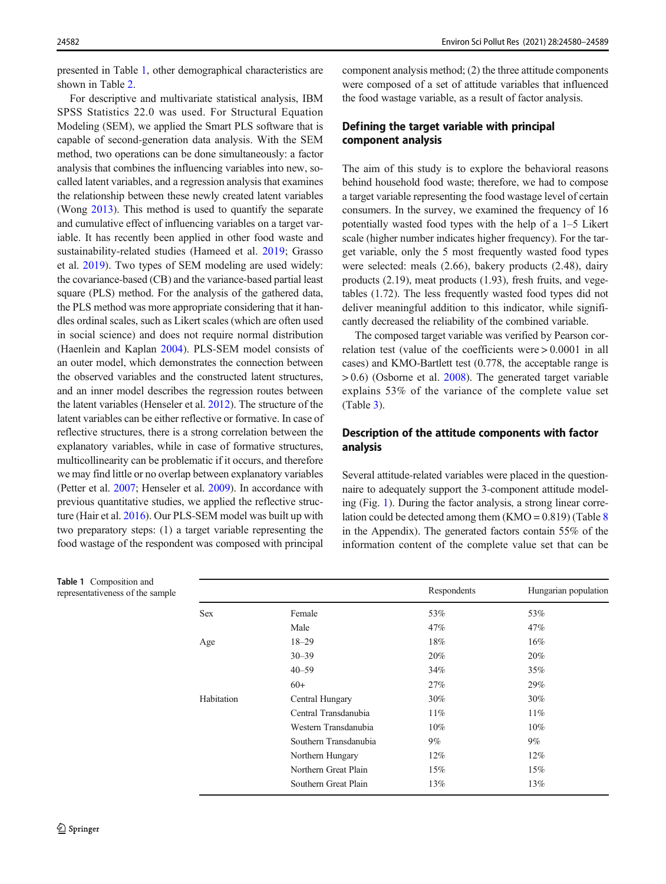presented in Table 1, other demographical characteristics are shown in Table [2.](#page-3-0)

For descriptive and multivariate statistical analysis, IBM SPSS Statistics 22.0 was used. For Structural Equation Modeling (SEM), we applied the Smart PLS software that is capable of second-generation data analysis. With the SEM method, two operations can be done simultaneously: a factor analysis that combines the influencing variables into new, socalled latent variables, and a regression analysis that examines the relationship between these newly created latent variables (Wong [2013](#page-9-0)). This method is used to quantify the separate and cumulative effect of influencing variables on a target variable. It has recently been applied in other food waste and sustainability-related studies (Hameed et al. [2019;](#page-9-0) Grasso et al. [2019\)](#page-8-0). Two types of SEM modeling are used widely: the covariance-based (CB) and the variance-based partial least square (PLS) method. For the analysis of the gathered data, the PLS method was more appropriate considering that it handles ordinal scales, such as Likert scales (which are often used in social science) and does not require normal distribution (Haenlein and Kaplan [2004\)](#page-9-0). PLS-SEM model consists of an outer model, which demonstrates the connection between the observed variables and the constructed latent structures, and an inner model describes the regression routes between the latent variables (Henseler et al. [2012\)](#page-9-0). The structure of the latent variables can be either reflective or formative. In case of reflective structures, there is a strong correlation between the explanatory variables, while in case of formative structures, multicollinearity can be problematic if it occurs, and therefore we may find little or no overlap between explanatory variables (Petter et al. [2007](#page-9-0); Henseler et al. [2009\)](#page-9-0). In accordance with previous quantitative studies, we applied the reflective structure (Hair et al. [2016](#page-9-0)). Our PLS-SEM model was built up with two preparatory steps: (1) a target variable representing the food wastage of the respondent was composed with principal

component analysis method; (2) the three attitude components were composed of a set of attitude variables that influenced the food wastage variable, as a result of factor analysis.

## Defining the target variable with principal component analysis

The aim of this study is to explore the behavioral reasons behind household food waste; therefore, we had to compose a target variable representing the food wastage level of certain consumers. In the survey, we examined the frequency of 16 potentially wasted food types with the help of a 1–5 Likert scale (higher number indicates higher frequency). For the target variable, only the 5 most frequently wasted food types were selected: meals (2.66), bakery products (2.48), dairy products (2.19), meat products (1.93), fresh fruits, and vegetables (1.72). The less frequently wasted food types did not deliver meaningful addition to this indicator, while significantly decreased the reliability of the combined variable.

The composed target variable was verified by Pearson correlation test (value of the coefficients were > 0.0001 in all cases) and KMO-Bartlett test (0.778, the acceptable range is > 0.6) (Osborne et al. [2008\)](#page-9-0). The generated target variable explains 53% of the variance of the complete value set (Table [3\)](#page-3-0).

## Description of the attitude components with factor analysis

Several attitude-related variables were placed in the questionnaire to adequately support the 3-component attitude modeling (Fig. [1\)](#page-4-0). During the factor analysis, a strong linear correlation could be detected among them  $(KMO = 0.819)$  $(KMO = 0.819)$  $(KMO = 0.819)$  (Table 8) in the Appendix). The generated factors contain 55% of the information content of the complete value set that can be

|            |                       | Respondents | Hungarian population |
|------------|-----------------------|-------------|----------------------|
| <b>Sex</b> | Female                | 53%         | 53%                  |
|            | Male                  | 47%         | 47%                  |
| Age        | $18 - 29$             | 18%         | $16\%$               |
|            | $30 - 39$             | 20%         | 20%                  |
|            | $40 - 59$             | 34%         | 35%                  |
|            | $60+$                 | 27%         | 29%                  |
| Habitation | Central Hungary       | 30%         | 30%                  |
|            | Central Transdanubia  | $11\%$      | $11\%$               |
|            | Western Transdanubia  | $10\%$      | $10\%$               |
|            | Southern Transdanubia | $9\%$       | $9\%$                |
|            | Northern Hungary      | 12%         | 12%                  |
|            | Northern Great Plain  | 15%         | 15%                  |
|            | Southern Great Plain  | 13%         | 13%                  |
|            |                       |             |                      |

Table 1 Composition and representativeness of the sample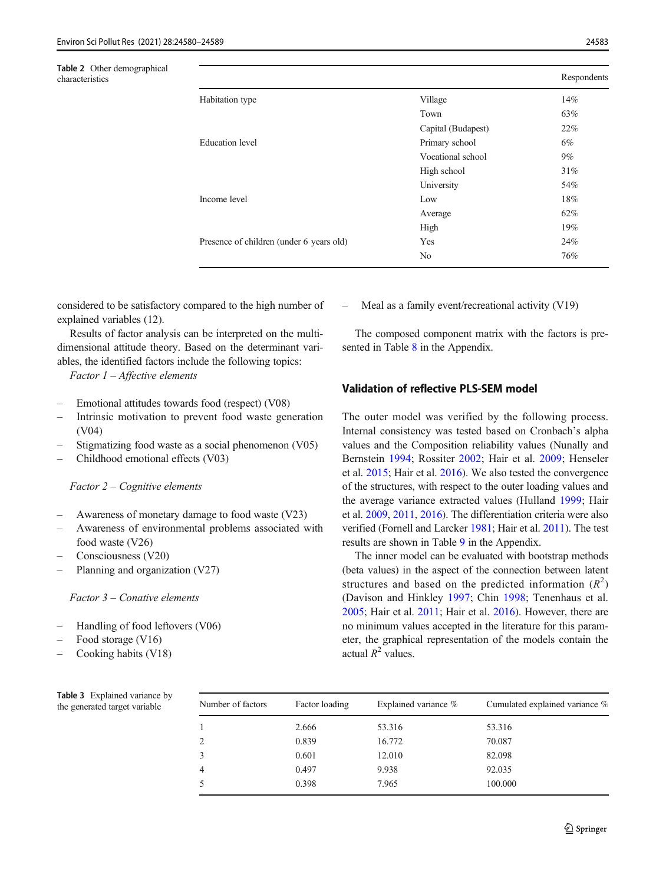<span id="page-3-0"></span>

| <b>Table 2</b> Other demographical<br>characteristics |                                          |                    | Respondents |
|-------------------------------------------------------|------------------------------------------|--------------------|-------------|
|                                                       | Habitation type                          | Village            | 14%         |
|                                                       |                                          | Town               | 63%         |
|                                                       |                                          | Capital (Budapest) | 22%         |
|                                                       | <b>Education</b> level                   | Primary school     | 6%          |
|                                                       |                                          | Vocational school  | $9\%$       |
|                                                       |                                          | High school        | 31%         |
|                                                       |                                          | University         | 54%         |
|                                                       | Income level                             | Low                | 18%         |
|                                                       |                                          | Average            | 62%         |
|                                                       |                                          | High               | 19%         |
|                                                       | Presence of children (under 6 years old) | Yes                | 24%         |
|                                                       |                                          | No                 | 76%         |

considered to be satisfactory compared to the high number of explained variables (12).

Results of factor analysis can be interpreted on the multidimensional attitude theory. Based on the determinant variables, the identified factors include the following topics:

Factor 1 – Affective elements

- Emotional attitudes towards food (respect) (V08)
- Intrinsic motivation to prevent food waste generation (V04)
- Stigmatizing food waste as a social phenomenon (V05)
- Childhood emotional effects (V03)

#### Factor 2 – Cognitive elements

- Awareness of monetary damage to food waste (V23)
- Awareness of environmental problems associated with food waste (V26)
- Consciousness (V20)
- Planning and organization (V27)

Factor 3 – Conative elements

- Handling of food leftovers (V06)
- Food storage (V16)
- Cooking habits (V18)

– Meal as a family event/recreational activity (V19)

The composed component matrix with the factors is pre-sented in Table [8](#page-7-0) in the Appendix.

#### Validation of reflective PLS-SEM model

The outer model was verified by the following process. Internal consistency was tested based on Cronbach's alpha values and the Composition reliability values (Nunally and Bernstein [1994;](#page-9-0) Rossiter [2002;](#page-9-0) Hair et al. [2009;](#page-9-0) Henseler et al. [2015](#page-9-0); Hair et al. [2016](#page-9-0)). We also tested the convergence of the structures, with respect to the outer loading values and the average variance extracted values (Hulland [1999](#page-9-0); Hair et al. [2009,](#page-9-0) [2011](#page-9-0), [2016](#page-9-0)). The differentiation criteria were also verified (Fornell and Larcker [1981](#page-8-0); Hair et al. [2011](#page-9-0)). The test results are shown in Table [9](#page-8-0) in the Appendix.

The inner model can be evaluated with bootstrap methods (beta values) in the aspect of the connection between latent structures and based on the predicted information  $(R^2)$ (Davison and Hinkley [1997](#page-8-0); Chin [1998](#page-8-0); Tenenhaus et al. [2005;](#page-9-0) Hair et al. [2011](#page-9-0); Hair et al. [2016\)](#page-9-0). However, there are no minimum values accepted in the literature for this parameter, the graphical representation of the models contain the actual  $R^2$  values.

| у | Number of factors | Factor loading | Explained variance % | Cumulated explained variance % |
|---|-------------------|----------------|----------------------|--------------------------------|
|   |                   | 2.666          | 53.316               | 53.316                         |
|   | 2                 | 0.839          | 16.772               | 70.087                         |
|   |                   | 0.601          | 12.010               | 82.098                         |
|   | 4                 | 0.497          | 9.938                | 92.035                         |
|   |                   | 0.398          | 7.965                | 100.000                        |
|   |                   |                |                      |                                |

Table 3 Explained variance by the generated target variable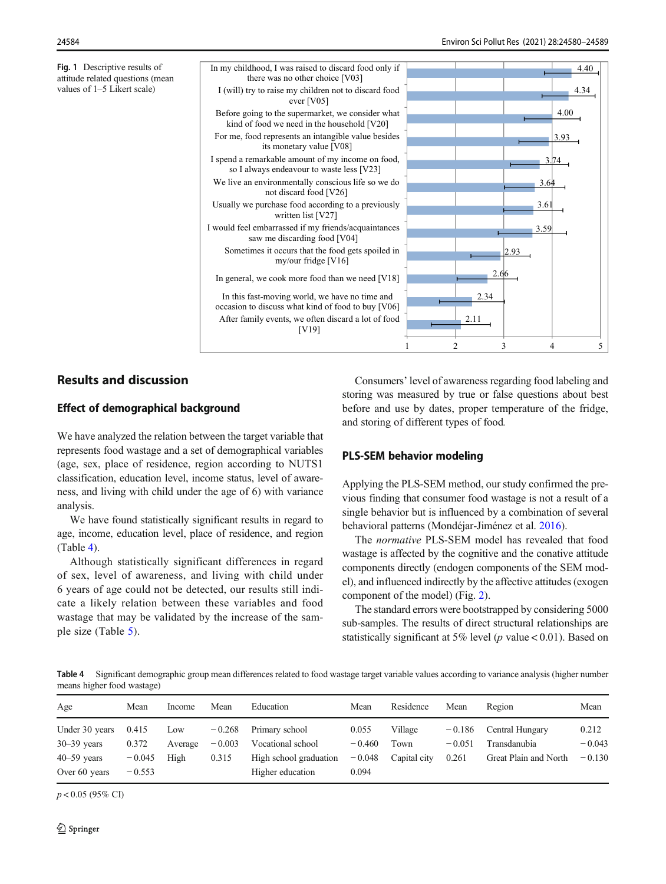<span id="page-4-0"></span>Fig. 1 Descriptive results of attitude related questions (mean values of 1–5 Likert scale)

3.59

3.61

3.64

3.74

3.93

4.00

4.34

4.40



# Results and discussion

### Effect of demographical background

We have analyzed the relation between the target variable that represents food wastage and a set of demographical variables (age, sex, place of residence, region according to NUTS1 classification, education level, income status, level of awareness, and living with child under the age of 6) with variance analysis.

We have found statistically significant results in regard to age, income, education level, place of residence, and region (Table 4).

Although statistically significant differences in regard of sex, level of awareness, and living with child under 6 years of age could not be detected, our results still indicate a likely relation between these variables and food wastage that may be validated by the increase of the sample size (Table [5](#page-5-0)).

Consumers' level of awareness regarding food labeling and storing was measured by true or false questions about best before and use by dates, proper temperature of the fridge, and storing of different types of food.

## PLS-SEM behavior modeling

Applying the PLS-SEM method, our study confirmed the previous finding that consumer food wastage is not a result of a single behavior but is influenced by a combination of several behavioral patterns (Mondéjar-Jiménez et al. [2016\)](#page-9-0).

The normative PLS-SEM model has revealed that food wastage is affected by the cognitive and the conative attitude components directly (endogen components of the SEM model), and influenced indirectly by the affective attitudes (exogen component of the model) (Fig. [2](#page-5-0)).

The standard errors were bootstrapped by considering 5000 sub-samples. The results of direct structural relationships are statistically significant at 5% level ( $p$  value < 0.01). Based on

Table 4 Significant demographic group mean differences related to food wastage target variable values according to variance analysis (higher number means higher food wastage)

| Age             | Mean     | Income  | Mean     | Education              | Mean     | Residence    | Mean     | Region                | Mean     |
|-----------------|----------|---------|----------|------------------------|----------|--------------|----------|-----------------------|----------|
| Under 30 years  | 0.415    | Low     | $-0.268$ | Primary school         | 0.055    | Village      | $-0.186$ | Central Hungary       | 0.212    |
| $30 - 39$ years | 0.372    | Average | $-0.003$ | Vocational school      | $-0.460$ | Town         | $-0.051$ | Transdanubia          | $-0.043$ |
| $40 - 59$ years | $-0.045$ | High    | 0.315    | High school graduation | $-0.048$ | Capital city | 0.261    | Great Plain and North | $-0.130$ |
| Over 60 years   | $-0.553$ |         |          | Higher education       | 0.094    |              |          |                       |          |

 $p < 0.05$  (95% CI)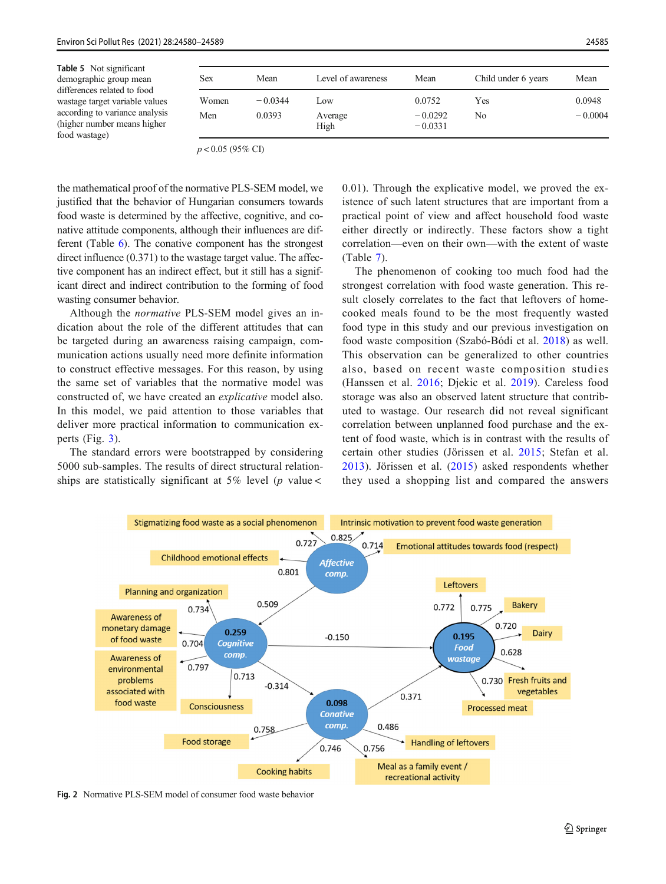<span id="page-5-0"></span>

| Table 5 Not significant<br>demographic group mean<br>differences related to food | Sex   | Mean      | Level of awareness | Mean                   | Child under 6 years | Mean      |
|----------------------------------------------------------------------------------|-------|-----------|--------------------|------------------------|---------------------|-----------|
| wastage target variable values                                                   | Women | $-0.0344$ | Low                | 0.0752                 | Yes                 | 0.0948    |
| according to variance analysis<br>(higher number means higher)<br>food wastage)  | Men   | 0.0393    | Average<br>High    | $-0.0292$<br>$-0.0331$ | No                  | $-0.0004$ |

 $p < 0.05$  (95% CI)

the mathematical proof of the normative PLS-SEM model, we justified that the behavior of Hungarian consumers towards food waste is determined by the affective, cognitive, and conative attitude components, although their influences are different (Table [6\)](#page-6-0). The conative component has the strongest direct influence (0.371) to the wastage target value. The affective component has an indirect effect, but it still has a significant direct and indirect contribution to the forming of food wasting consumer behavior.

Although the normative PLS-SEM model gives an indication about the role of the different attitudes that can be targeted during an awareness raising campaign, communication actions usually need more definite information to construct effective messages. For this reason, by using the same set of variables that the normative model was constructed of, we have created an explicative model also. In this model, we paid attention to those variables that deliver more practical information to communication experts (Fig. [3](#page-6-0)).

The standard errors were bootstrapped by considering 5000 sub-samples. The results of direct structural relationships are statistically significant at 5% level ( $p$  value <

0.01). Through the explicative model, we proved the existence of such latent structures that are important from a practical point of view and affect household food waste either directly or indirectly. These factors show a tight correlation—even on their own—with the extent of waste (Table [7](#page-7-0)).

The phenomenon of cooking too much food had the strongest correlation with food waste generation. This result closely correlates to the fact that leftovers of homecooked meals found to be the most frequently wasted food type in this study and our previous investigation on food waste composition (Szabó-Bódi et al. [2018](#page-9-0)) as well. This observation can be generalized to other countries also, based on recent waste composition studies (Hanssen et al. [2016;](#page-9-0) Djekic et al. [2019](#page-8-0)). Careless food storage was also an observed latent structure that contributed to wastage. Our research did not reveal significant correlation between unplanned food purchase and the extent of food waste, which is in contrast with the results of certain other studies (Jörissen et al. [2015;](#page-9-0) Stefan et al. [2013](#page-9-0)). Jörissen et al. [\(2015\)](#page-9-0) asked respondents whether they used a shopping list and compared the answers



Fig. 2 Normative PLS-SEM model of consumer food waste behavior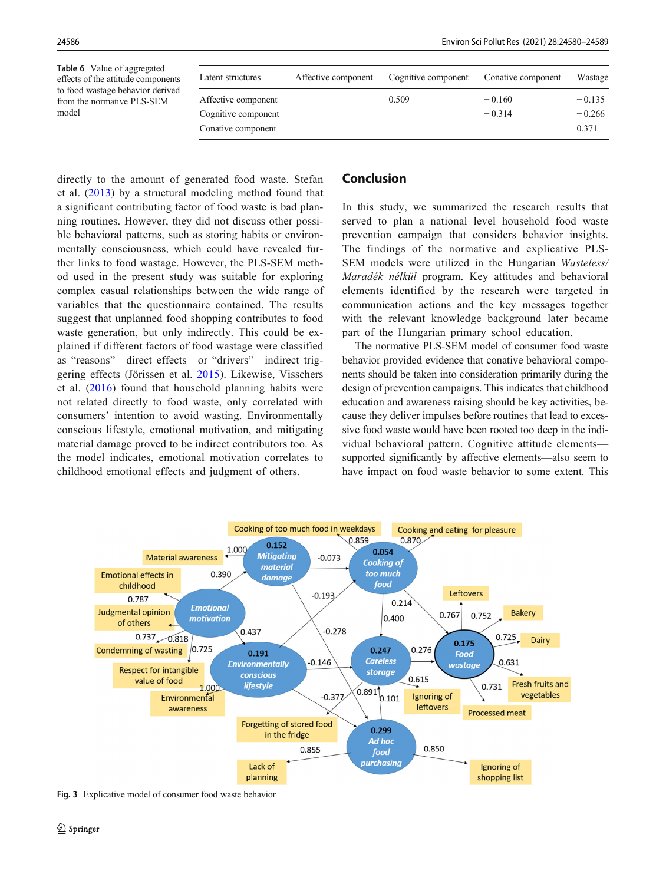<span id="page-6-0"></span>Table 6 Value of aggregated effects of the attitude components to food wastage behavior derived from the normative PLS-SEM model Latent structures Affective component Cognitive component Conative component Wastage Affective component  $0.509 - 0.160 - 0.135$ Cognitive component  $-0.314$   $-0.266$ Conative component 0.371

directly to the amount of generated food waste. Stefan et al. ([2013](#page-9-0)) by a structural modeling method found that a significant contributing factor of food waste is bad planning routines. However, they did not discuss other possible behavioral patterns, such as storing habits or environmentally consciousness, which could have revealed further links to food wastage. However, the PLS-SEM method used in the present study was suitable for exploring complex casual relationships between the wide range of variables that the questionnaire contained. The results suggest that unplanned food shopping contributes to food waste generation, but only indirectly. This could be explained if different factors of food wastage were classified as "reasons"—direct effects—or "drivers"—indirect triggering effects (Jörissen et al. [2015\)](#page-9-0). Likewise, Visschers et al. ([2016](#page-9-0)) found that household planning habits were not related directly to food waste, only correlated with consumers' intention to avoid wasting. Environmentally conscious lifestyle, emotional motivation, and mitigating material damage proved to be indirect contributors too. As the model indicates, emotional motivation correlates to childhood emotional effects and judgment of others.

# Conclusion

In this study, we summarized the research results that served to plan a national level household food waste prevention campaign that considers behavior insights. The findings of the normative and explicative PLS-SEM models were utilized in the Hungarian Wasteless/ Maradék nélkül program. Key attitudes and behavioral elements identified by the research were targeted in communication actions and the key messages together with the relevant knowledge background later became part of the Hungarian primary school education.

The normative PLS-SEM model of consumer food waste behavior provided evidence that conative behavioral components should be taken into consideration primarily during the design of prevention campaigns. This indicates that childhood education and awareness raising should be key activities, because they deliver impulses before routines that lead to excessive food waste would have been rooted too deep in the individual behavioral pattern. Cognitive attitude elements supported significantly by affective elements—also seem to have impact on food waste behavior to some extent. This



Fig. 3 Explicative model of consumer food waste behavior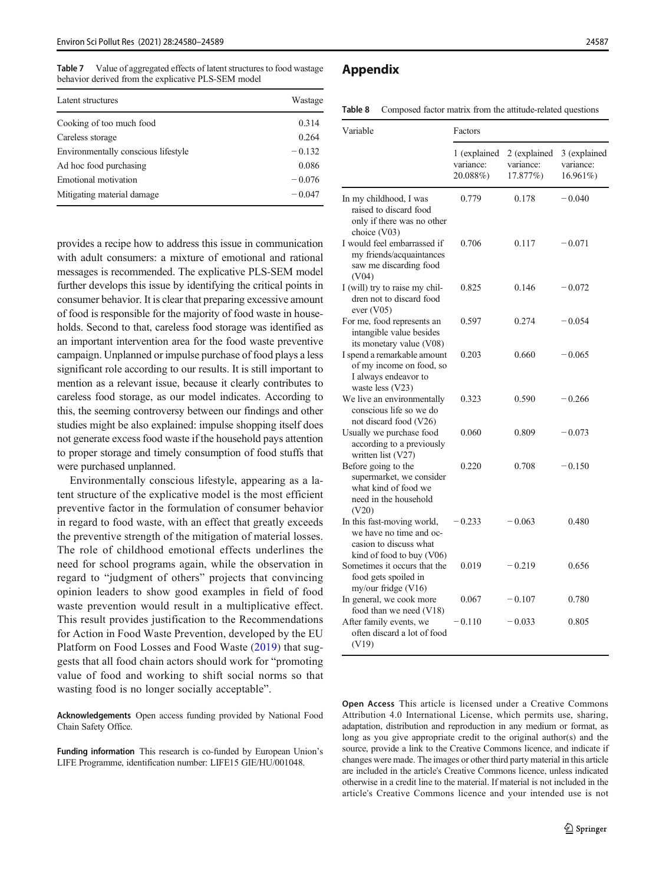<span id="page-7-0"></span>Table 7 Value of aggregated effects of latent structures to food wastage behavior derived from the explicative PLS-SEM model

| Latent structures                   | Wastage  |  |
|-------------------------------------|----------|--|
| Cooking of too much food            | 0.314    |  |
| Careless storage                    | 0.264    |  |
| Environmentally conscious lifestyle | $-0.132$ |  |
| Ad hoc food purchasing              | 0.086    |  |
| Emotional motivation                | $-0.076$ |  |
| Mitigating material damage          | $-0.047$ |  |

provides a recipe how to address this issue in communication with adult consumers: a mixture of emotional and rational messages is recommended. The explicative PLS-SEM model further develops this issue by identifying the critical points in consumer behavior. It is clear that preparing excessive amount of food is responsible for the majority of food waste in households. Second to that, careless food storage was identified as an important intervention area for the food waste preventive campaign. Unplanned or impulse purchase of food plays a less significant role according to our results. It is still important to mention as a relevant issue, because it clearly contributes to careless food storage, as our model indicates. According to this, the seeming controversy between our findings and other studies might be also explained: impulse shopping itself does not generate excess food waste if the household pays attention to proper storage and timely consumption of food stuffs that were purchased unplanned.

Environmentally conscious lifestyle, appearing as a latent structure of the explicative model is the most efficient preventive factor in the formulation of consumer behavior in regard to food waste, with an effect that greatly exceeds the preventive strength of the mitigation of material losses. The role of childhood emotional effects underlines the need for school programs again, while the observation in regard to "judgment of others" projects that convincing opinion leaders to show good examples in field of food waste prevention would result in a multiplicative effect. This result provides justification to the Recommendations for Action in Food Waste Prevention, developed by the EU Platform on Food Losses and Food Waste ([2019\)](#page-8-0) that suggests that all food chain actors should work for "promoting value of food and working to shift social norms so that wasting food is no longer socially acceptable".

Acknowledgements Open access funding provided by National Food Chain Safety Office.

Funding information This research is co-funded by European Union's LIFE Programme, identification number: LIFE15 GIE/HU/001048.

# Appendix

|  |  |  |  | <b>Table 8</b> Composed factor matrix from the attitude-related questions |  |
|--|--|--|--|---------------------------------------------------------------------------|--|
|--|--|--|--|---------------------------------------------------------------------------|--|

| Variable                                                                                                     | Factors                               |                                       |                                       |  |  |
|--------------------------------------------------------------------------------------------------------------|---------------------------------------|---------------------------------------|---------------------------------------|--|--|
|                                                                                                              | 1 (explained<br>variance:<br>20.088%) | 2 (explained<br>variance:<br>17.877%) | 3 (explained<br>variance:<br>16.961%) |  |  |
| In my childhood, I was<br>raised to discard food<br>only if there was no other<br>choice (V03)               | 0.779                                 | 0.178                                 | $-0.040$                              |  |  |
| I would feel embarrassed if<br>my friends/acquaintances<br>saw me discarding food<br>(V04)                   | 0.706                                 | 0.117                                 | $-0.071$                              |  |  |
| I (will) try to raise my chil-<br>dren not to discard food<br>ever (V05)                                     | 0.825                                 | 0.146                                 | $-0.072$                              |  |  |
| For me, food represents an<br>intangible value besides<br>its monetary value (V08)                           | 0.597                                 | 0.274                                 | $-0.054$                              |  |  |
| I spend a remarkable amount<br>of my income on food, so<br>I always endeavor to<br>waste less (V23)          | 0.203                                 | 0.660                                 | $-0.065$                              |  |  |
| We live an environmentally<br>conscious life so we do<br>not discard food (V26)                              | 0.323                                 | 0.590                                 | $-0.266$                              |  |  |
| Usually we purchase food<br>according to a previously<br>written list (V27)                                  | 0.060                                 | 0.809                                 | $-0.073$                              |  |  |
| Before going to the<br>supermarket, we consider<br>what kind of food we<br>need in the household<br>(V20)    | 0.220                                 | 0.708                                 | $-0.150$                              |  |  |
| In this fast-moving world,<br>we have no time and oc-<br>casion to discuss what<br>kind of food to buy (V06) | $-0.233$                              | $-0.063$                              | 0.480                                 |  |  |
| Sometimes it occurs that the<br>food gets spoiled in<br>my/our fridge (V16)                                  | 0.019                                 | $-0.219$                              | 0.656                                 |  |  |
| In general, we cook more<br>food than we need (V18)                                                          | 0.067                                 | $-0.107$                              | 0.780                                 |  |  |
| After family events, we<br>often discard a lot of food<br>(V19)                                              | $-0.110$                              | $-0.033$                              | 0.805                                 |  |  |

Open Access This article is licensed under a Creative Commons Attribution 4.0 International License, which permits use, sharing, adaptation, distribution and reproduction in any medium or format, as long as you give appropriate credit to the original author(s) and the source, provide a link to the Creative Commons licence, and indicate if changes were made. The images or other third party material in this article are included in the article's Creative Commons licence, unless indicated otherwise in a credit line to the material. If material is not included in the article's Creative Commons licence and your intended use is not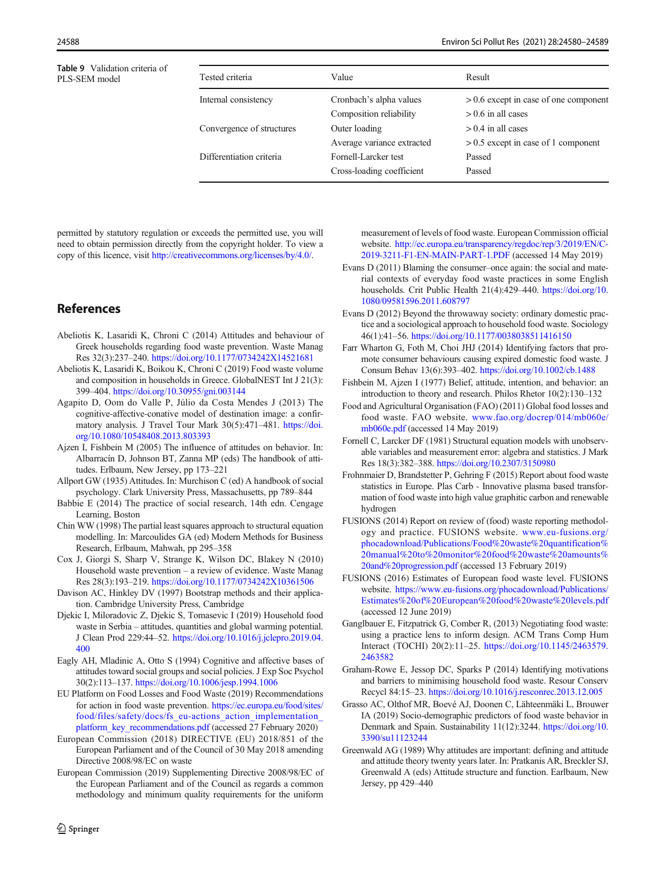<span id="page-8-0"></span>

|               | <b>Table 9</b> Validation criteria of |  |
|---------------|---------------------------------------|--|
| PLS-SEM model |                                       |  |

| <b>Table 9</b> Validation criteria of<br>PLS-SEM model | Tested criteria           | Value                      | Result                                  |
|--------------------------------------------------------|---------------------------|----------------------------|-----------------------------------------|
|                                                        | Internal consistency      | Cronbach's alpha values    | $> 0.6$ except in case of one component |
|                                                        |                           | Composition reliability    | $> 0.6$ in all cases                    |
|                                                        | Convergence of structures | Outer loading              | $> 0.4$ in all cases                    |
|                                                        |                           | Average variance extracted | $> 0.5$ except in case of 1 component   |
|                                                        | Differentiation criteria  | Fornell-Larcker test       | Passed                                  |
|                                                        |                           | Cross-loading coefficient  | Passed                                  |
|                                                        |                           |                            |                                         |

permitted by statutory regulation or exceeds the permitted use, you will need to obtain permission directly from the copyright holder. To view a copy of this licence, visit [http://creativecommons.org/licenses/by/4.0/.](http://creativecommons.org/licenses/by/4.0/)

# References

- Abeliotis K, Lasaridi K, Chroni C (2014) Attitudes and behaviour of Greek households regarding food waste prevention. Waste Manag Res 32(3):237–240. <https://doi.org/10.1177/0734242X14521681>
- Abeliotis K, Lasaridi K, Boikou K, Chroni C (2019) Food waste volume and composition in households in Greece. GlobalNEST Int J 21(3): 399–404. <https://doi.org/10.30955/gni.003144>
- Agapito D, Oom do Valle P, Júlio da Costa Mendes J (2013) The cognitive-affective-conative model of destination image: a confirmatory analysis. J Travel Tour Mark 30(5):471–481. [https://doi.](https://doi.org/10.1080/10548408.2013.803393) [org/10.1080/10548408.2013.803393](https://doi.org/10.1080/10548408.2013.803393)
- Ajzen I, Fishbein M (2005) The influence of attitudes on behavior. In: Albarracín D, Johnson BT, Zanna MP (eds) The handbook of attitudes. Erlbaum, New Jersey, pp 173–221
- Allport GW (1935) Attitudes. In: Murchison C (ed) A handbook of social psychology. Clark University Press, Massachusetts, pp 789–844
- Babbie E (2014) The practice of social research, 14th edn. Cengage Learning, Boston
- Chin WW (1998) The partial least squares approach to structural equation modelling. In: Marcoulides GA (ed) Modern Methods for Business Research, Erlbaum, Mahwah, pp 295–358
- Cox J, Giorgi S, Sharp V, Strange K, Wilson DC, Blakey N (2010) Household waste prevention – a review of evidence. Waste Manag Res 28(3):193–219. <https://doi.org/10.1177/0734242X10361506>
- Davison AC, Hinkley DV (1997) Bootstrap methods and their application. Cambridge University Press, Cambridge
- Djekic I, Miloradovic Z, Djekic S, Tomasevic I (2019) Household food waste in Serbia – attitudes, quantities and global warming potential. J Clean Prod 229:44–52. [https://doi.org/10.1016/j.jclepro.2019.04.](https://doi.org/10.1016/j.jclepro.2019.04.400) [400](https://doi.org/10.1016/j.jclepro.2019.04.400)
- Eagly AH, Mladinic A, Otto S (1994) Cognitive and affective bases of attitudes toward social groups and social policies. J Exp Soc Psychol 30(2):113–137. <https://doi.org/10.1006/jesp.1994.1006>
- EU Platform on Food Losses and Food Waste (2019) Recommendations for action in food waste prevention. [https://ec.europa.eu/food/sites/](http://creativecommons.org/licenses/by/4.0/) [food/files/safety/docs/fs\\_eu-actions\\_action\\_implementation\\_](http://creativecommons.org/licenses/by/4.0/) platform key recommendations.pdf (accessed 27 February 2020)
- European Commission (2018) DIRECTIVE (EU) 2018/851 of the European Parliament and of the Council of 30 May 2018 amending Directive 2008/98/EC on waste
- European Commission (2019) Supplementing Directive 2008/98/EC of the European Parliament and of the Council as regards a common methodology and minimum quality requirements for the uniform

measurement of levels of food waste. European Commission official website. [http://ec.europa.eu/transparency/regdoc/rep/3/2019/EN/C-](http://creativecommons.org/licenses/by/4.0/)[2019-3211-F1-EN-MAIN-PART-1.PDF](http://creativecommons.org/licenses/by/4.0/) (accessed 14 May 2019)

- Evans D (2011) Blaming the consumer–once again: the social and material contexts of everyday food waste practices in some English households. Crit Public Health 21(4):429-440. [https://doi.org/10.](http://creativecommons.org/licenses/by/4.0/) [1080/09581596.2011.608797](http://creativecommons.org/licenses/by/4.0/)
- Evans D (2012) Beyond the throwaway society: ordinary domestic practice and a sociological approach to household food waste. Sociology 46(1):41–56. <https://doi.org/10.1177/0038038511416150>
- Farr Wharton G, Foth M, Choi JHJ (2014) Identifying factors that promote consumer behaviours causing expired domestic food waste. J Consum Behav 13(6):393–402. <https://doi.org/10.1002/cb.1488>
- Fishbein M, Ajzen I (1977) Belief, attitude, intention, and behavior: an introduction to theory and research. Philos Rhetor 10(2):130–132
- Food and Agricultural Organisation (FAO) (2011) Global food losses and food waste. FAO website. [www.fao.org/docrep/014/mb060e/](http://creativecommons.org/licenses/by/4.0/) [mb060e.pdf](http://creativecommons.org/licenses/by/4.0/) (accessed 14 May 2019)
- Fornell C, Larcker DF (1981) Structural equation models with unobservable variables and measurement error: algebra and statistics. J Mark Res 18(3):382–388. <https://doi.org/10.2307/3150980>
- Frohnmaier D, Brandstetter P, Gehring F (2015) Report about food waste statistics in Europe. Plas Carb - Innovative plasma based transformation of food waste into high value graphitic carbon and renewable hydrogen
- FUSIONS (2014) Report on review of (food) waste reporting methodology and practice. FUSIONS website. [www.eu-fusions.org/](http://creativecommons.org/licenses/by/4.0/) [phocadownload/Publications/Food%20waste%20quantification%](http://creativecommons.org/licenses/by/4.0/) [20manual%20to%20monitor%20food%20waste%20amounts%](http://creativecommons.org/licenses/by/4.0/) [20and%20progression.pdf](http://creativecommons.org/licenses/by/4.0/) (accessed 13 February 2019)
- FUSIONS (2016) Estimates of European food waste level. FUSIONS website. [https://www.eu-fusions.org/phocadownload/Publications/](http://creativecommons.org/licenses/by/4.0/) [Estimates%20of%20European%20food%20waste%20levels.pdf](http://creativecommons.org/licenses/by/4.0/) (accessed 12 June 2019)
- Ganglbauer E, Fitzpatrick G, Comber R, (2013) Negotiating food waste: using a practice lens to inform design. ACM Trans Comp Hum Interact (TOCHI) 20(2):11–25. [https://doi.org/10.1145/2463579.](https://doi.org/10.1145/2463579.2463582) [2463582](https://doi.org/10.1145/2463579.2463582)
- Graham-Rowe E, Jessop DC, Sparks P (2014) Identifying motivations and barriers to minimising household food waste. Resour Conserv Recycl 84:15–23. <https://doi.org/10.1016/j.resconrec.2013.12.005>
- Grasso AC, Olthof MR, Boevé AJ, Doonen C, Lähteenmäki L, Brouwer IA (2019) Socio-demographic predictors of food waste behavior in Denmark and Spain. Sustainability 11(12):3244. [https://doi.org/10.](https://doi.org/10.3390/su11123244) [3390/su11123244](https://doi.org/10.3390/su11123244)
- Greenwald AG (1989) Why attitudes are important: defining and attitude and attitude theory twenty years later. In: Pratkanis AR, Breckler SJ, Greenwald A (eds) Attitude structure and function. Earlbaum, New Jersey, pp 429–440